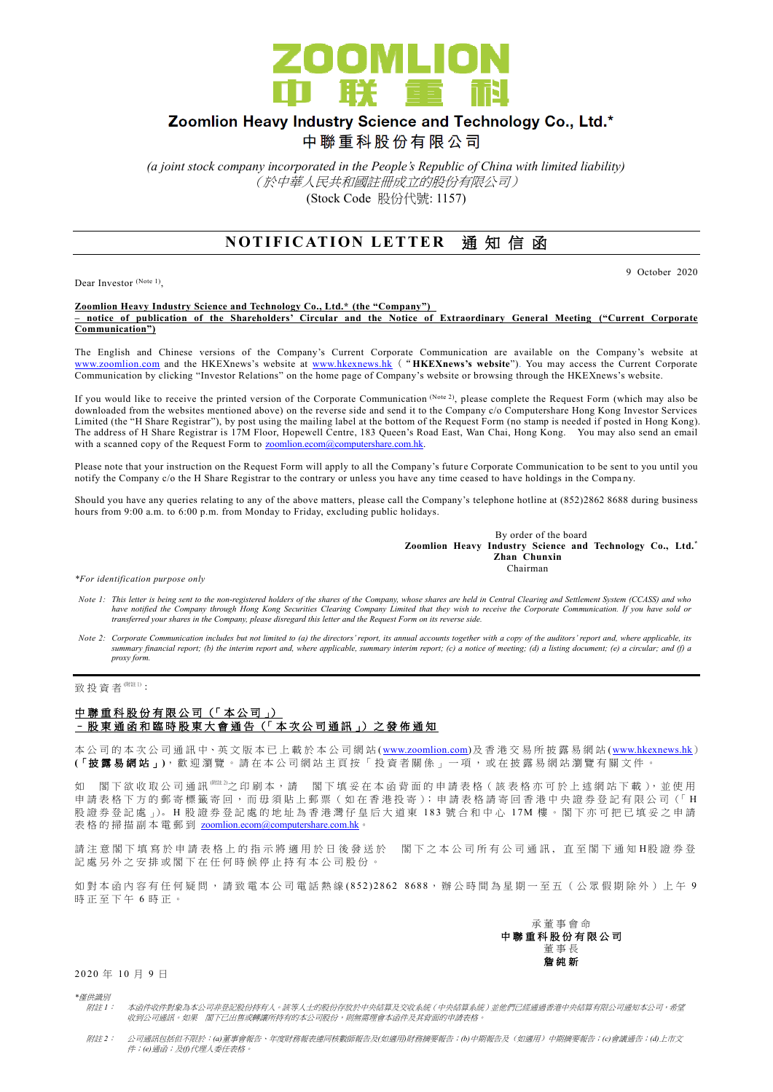

# Zoomlion Heavy Industry Science and Technology Co., Ltd.\*

中聯重科股份有限公司

*(a joint stock company incorporated in the People's Republic of China with limited liability)* (於中華人民共和國註冊成立的股份有限公司) (Stock Code 股份代號: 1157)

## **NOTIFICATION LETTER 通知信函**

Dear Investor (Note 1),

9 October 2020

### **Zoomlion Heavy Industry Science and Technology Co., Ltd.\* (the "Company") – notice of publication of the Shareholders' Circular and the Notice of Extraordinary General Meeting ("Current Corporate Communication")**

The English and Chinese versions of the Company's Current Corporate Communication are available on the Company's website at [www.zoomlion.com](http://www.zoomlion.com/) and the HKEXnews's website at [www.hkexnews.hk](http://www.hkexnews.hk/) ("**HKEXnews's website**"). You may access the Current Corporate Communication by clicking "Investor Relations" on the home page of Company's website or browsing through the HKEXnews's website.

If you would like to receive the printed version of the Corporate Communication  $^{(Note 2)}$ , please complete the Request Form (which may also be downloaded from the websites mentioned above) on the reverse side and send it to the Company c/o Computershare Hong Kong Investor Services Limited (the "H Share Registrar"), by post using the mailing label at the bottom of the Request Form (no stamp is needed if posted in Hong Kong). The address of H Share Registrar is 17M Floor, Hopewell Centre, 183 Queen's Road East, Wan Chai, Hong Kong. You may also send an email with a scanned copy of the Request Form to **zoomlion.ecom@computershare.com.hk.** 

Please note that your instruction on the Request Form will apply to all the Company's future Corporate Communication to be sent to you until you notify the Company c/o the H Share Registrar to the contrary or unless you have any time ceased to have holdings in the Compa ny.

Should you have any queries relating to any of the above matters, please call the Company's telephone hotline at (852)2862 8688 during business hours from 9:00 a.m. to 6:00 p.m. from Monday to Friday, excluding public holidays.

> By order of the board **Zoomlion Heavy Industry Science and Technology Co., Ltd.\* Zhan Chunxin** Chairman

*\*For identification purpose only*

- *Note 1: This letter is being sent to the non-registered holders of the shares of the Company, whose shares are held in Central Clearing and Settlement System (CCASS) and who*  have notified the Company through Hong Kong Securities Clearing Company Limited that they wish to receive the Corporate Communication. If you have sold or<br>transferred your shares in the Company, please disregard this lette
- *Note 2:* Corporate Communication includes but not limited to (a) the directors' report, its annual accounts together with a copy of the auditors' report and, where applicable, its *summary financial report; (b) the interim report and, where applicable, summary interim report; (c) a notice of meeting; (d) a listing document; (e) a circular; and (f) a summary financial report; (b) the interim report a proxy form.*

致投資者 $<sup>(Mät1)</sup>$ :</sup>

### 中聯重科股份有限公司 (「本公司」) – 股 東 通 函 和 臨 時 股 東 大 會 通 告 (「 本 次 公 司 通 訊 」) 之 發 佈 通 知

本公司的 本 次 公 司 通 訊 中、英 文 版 本 已 上 載於本 公 司 網 站 [\(www.zoomlion.com\)](http://www.zoomlion.com/)及香港交易所披露易網站 [\(www.hkexnews.hk](http://www.hkexnews.hk/)) **(**「披露易網站 」**)**,歡迎瀏覽。 請 在 本 公 司 網 站 主 頁 按 「 投 資 者 關 係 」 一 項 , 或 在 披 露 易 網 站 瀏 覽 有 關 文 件 。

如 閣下欲收取公司通訊 《 <sup>《 # a )。立使用 图下填妥在本函背面的申請表格(該表格亦可於上述網站下載),並使用</sup> 申請表格下方的郵寄標籤寄回,而毋須貼上郵票(如在香港投寄);申請表格請寄回香港中央證券登記有限公司(「H 股證券登記處 」)。H股證券登記處的地址為香港灣仔皇后大道東 183號合和中心 17M樓。閣下亦可把已填妥之申請 表格的掃描副本電郵到 [zoomlion.ecom@computershare.com.hk](mailto:zoomlion.ecom@computershare.com.hk)。

請 注 意 閣 下 埴 寫 於 申 譜 表 格 上 的 指 示 將 滴 用 於 日 後 發 送 於 閣 下 之 本 公 司 所 有 公 司 诵 訊 , 直 至 閣 下 诵 知 H 股 證 券 登 記處另外之安排或閣下在任何時候停止持有本公司股份。

如對本函內容有任何疑問,請致電本公司電話熱線(852) 2862 8688,辦公時間為星期一至五(公眾假期除外)上午 9 時正至下午 6 時正。



### 2 0 20 年 10 月 9 日

*\**僅供識別

附註 *1*: 本函件收件對象為本公司非登記股份持有人。該等人士的股份存放於中央結算及交收系統(中央結算系統)並他們已經通過香港中央結算有限公司通知本公司,希望 收到公司通訊。如果 閣下已出售或轉讓所持有的本公司股份,則無需理會本函件及其背面的申請表格。

附註 *2*: 公司通訊包括但不限於:*(a)*董事會報告、年度財務報表連同核數師報告及*(*如適用*)*財務摘要報告;*(b)*中期報告及(如適用)中期摘要報告;*(c)*會議通告;*(d)*上市文 件;*(e)*通函;及*(f)*代理人委任表格。